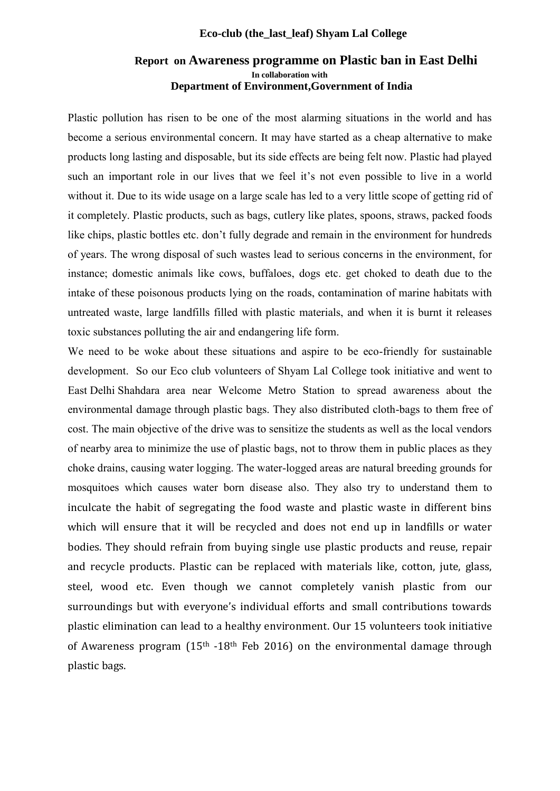## **Eco-club (the\_last\_leaf) Shyam Lal College**

## **Report on Awareness programme on Plastic ban in East Delhi In collaboration with Department of Environment,Government of India**

Plastic pollution has risen to be one of the most alarming situations in the world and has become a serious environmental concern. It may have started as a cheap alternative to make products long lasting and disposable, but its side effects are being felt now. Plastic had played such an important role in our lives that we feel it's not even possible to live in a world without it. Due to its wide usage on a large scale has led to a very little scope of getting rid of it completely. Plastic products, such as bags, cutlery like plates, spoons, straws, packed foods like chips, plastic bottles etc. don't fully degrade and remain in the environment for hundreds of years. The wrong disposal of such wastes lead to serious concerns in the environment, for instance; domestic animals like cows, buffaloes, dogs etc. get choked to death due to the intake of these poisonous products lying on the roads, contamination of marine habitats with untreated waste, large landfills filled with plastic materials, and when it is burnt it releases toxic substances polluting the air and endangering life form.

We need to be woke about these situations and aspire to be eco-friendly for sustainable development. So our Eco club volunteers of Shyam Lal College took initiative and went to East Delhi Shahdara area near Welcome Metro Station to spread awareness about the environmental damage through plastic bags. They also distributed cloth-bags to them free of cost. The main objective of the drive was to sensitize the students as well as the local vendors of nearby area to minimize the use of plastic bags, not to throw them in public places as they choke drains, causing water logging. The water-logged areas are natural breeding grounds for mosquitoes which causes water born disease also. They also try to understand them to inculcate the habit of segregating the food waste and plastic waste in different bins which will ensure that it will be recycled and does not end up in landfills or water bodies. They should refrain from buying single use plastic products and reuse, repair and recycle products. Plastic can be replaced with materials like, cotton, jute, glass, steel, wood etc. Even though we cannot completely vanish plastic from our surroundings but with everyone's individual efforts and small contributions towards plastic elimination can lead to a healthy environment. Our 15 volunteers took initiative of Awareness program  $(15<sup>th</sup> -18<sup>th</sup>$  Feb 2016) on the environmental damage through plastic bags.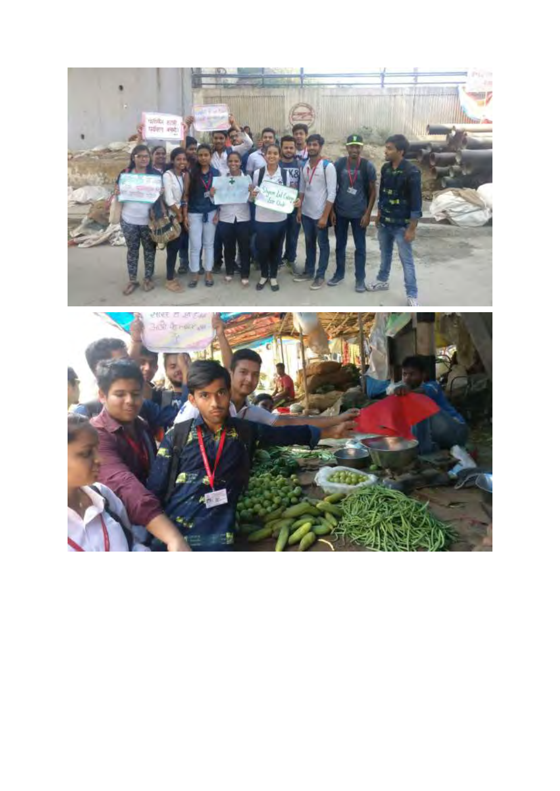

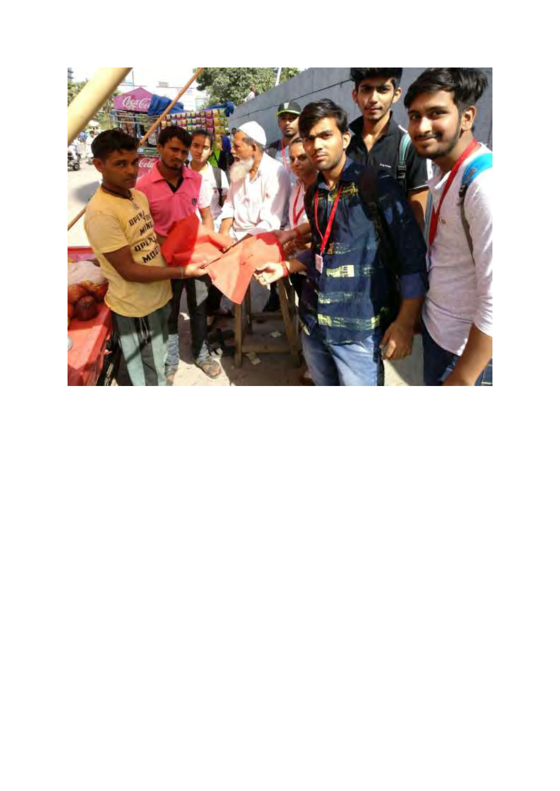